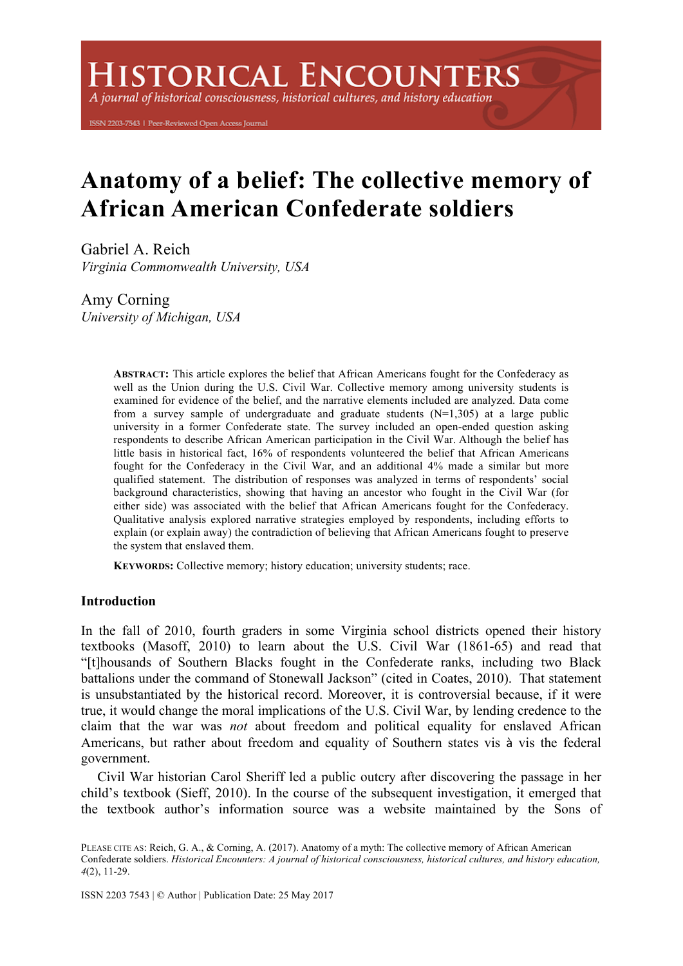# **HISTORICAL ENCOUNTERS**

A journal of historical consciousness, historical cultures, and history education

ISSN 2203-7543 | Peer-Reviewed Open Access Journal

# **Anatomy of a belief: The collective memory of African American Confederate soldiers**

Gabriel A. Reich *Virginia Commonwealth University, USA*

Amy Corning *University of Michigan, USA*

> **ABSTRACT:** This article explores the belief that African Americans fought for the Confederacy as well as the Union during the U.S. Civil War. Collective memory among university students is examined for evidence of the belief, and the narrative elements included are analyzed. Data come from a survey sample of undergraduate and graduate students  $(N=1,305)$  at a large public university in a former Confederate state. The survey included an open-ended question asking respondents to describe African American participation in the Civil War. Although the belief has little basis in historical fact, 16% of respondents volunteered the belief that African Americans fought for the Confederacy in the Civil War, and an additional 4% made a similar but more qualified statement. The distribution of responses was analyzed in terms of respondents' social background characteristics, showing that having an ancestor who fought in the Civil War (for either side) was associated with the belief that African Americans fought for the Confederacy. Qualitative analysis explored narrative strategies employed by respondents, including efforts to explain (or explain away) the contradiction of believing that African Americans fought to preserve the system that enslaved them.

**KEYWORDS:** Collective memory; history education; university students; race.

# **Introduction**

In the fall of 2010, fourth graders in some Virginia school districts opened their history textbooks (Masoff, 2010) to learn about the U.S. Civil War (1861-65) and read that "[t]housands of Southern Blacks fought in the Confederate ranks, including two Black battalions under the command of Stonewall Jackson" (cited in Coates, 2010). That statement is unsubstantiated by the historical record. Moreover, it is controversial because, if it were true, it would change the moral implications of the U.S. Civil War, by lending credence to the claim that the war was *not* about freedom and political equality for enslaved African Americans, but rather about freedom and equality of Southern states vis à vis the federal government.

Civil War historian Carol Sheriff led a public outcry after discovering the passage in her child's textbook (Sieff, 2010). In the course of the subsequent investigation, it emerged that the textbook author's information source was a website maintained by the Sons of

PLEASE CITE AS: Reich, G. A., & Corning, A. (2017). Anatomy of a myth: The collective memory of African American Confederate soldiers. *Historical Encounters: A journal of historical consciousness, historical cultures, and history education, 4*(2), 11-29.

ISSN 2203 7543 | © Author | Publication Date: 25 May 2017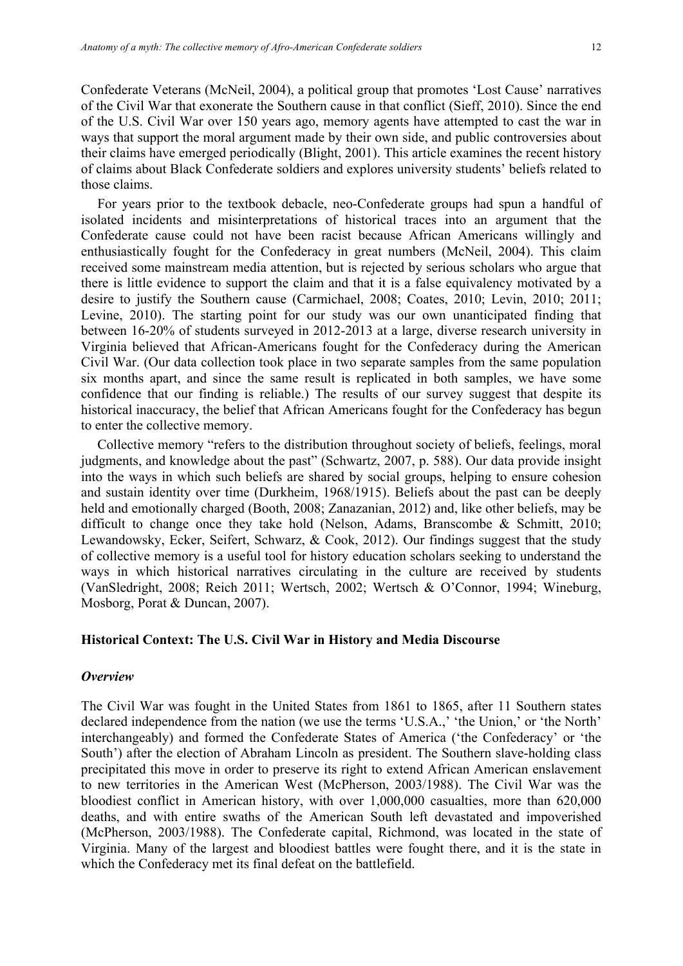Confederate Veterans (McNeil, 2004), a political group that promotes 'Lost Cause' narratives of the Civil War that exonerate the Southern cause in that conflict (Sieff, 2010). Since the end of the U.S. Civil War over 150 years ago, memory agents have attempted to cast the war in ways that support the moral argument made by their own side, and public controversies about their claims have emerged periodically (Blight, 2001). This article examines the recent history of claims about Black Confederate soldiers and explores university students' beliefs related to those claims.

For years prior to the textbook debacle, neo-Confederate groups had spun a handful of isolated incidents and misinterpretations of historical traces into an argument that the Confederate cause could not have been racist because African Americans willingly and enthusiastically fought for the Confederacy in great numbers (McNeil, 2004). This claim received some mainstream media attention, but is rejected by serious scholars who argue that there is little evidence to support the claim and that it is a false equivalency motivated by a desire to justify the Southern cause (Carmichael, 2008; Coates, 2010; Levin, 2010; 2011; Levine, 2010). The starting point for our study was our own unanticipated finding that between 16-20% of students surveyed in 2012-2013 at a large, diverse research university in Virginia believed that African-Americans fought for the Confederacy during the American Civil War. (Our data collection took place in two separate samples from the same population six months apart, and since the same result is replicated in both samples, we have some confidence that our finding is reliable.) The results of our survey suggest that despite its historical inaccuracy, the belief that African Americans fought for the Confederacy has begun to enter the collective memory.

Collective memory "refers to the distribution throughout society of beliefs, feelings, moral judgments, and knowledge about the past" (Schwartz, 2007, p. 588). Our data provide insight into the ways in which such beliefs are shared by social groups, helping to ensure cohesion and sustain identity over time (Durkheim, 1968/1915). Beliefs about the past can be deeply held and emotionally charged (Booth, 2008; Zanazanian, 2012) and, like other beliefs, may be difficult to change once they take hold (Nelson, Adams, Branscombe & Schmitt, 2010; Lewandowsky, Ecker, Seifert, Schwarz, & Cook, 2012). Our findings suggest that the study of collective memory is a useful tool for history education scholars seeking to understand the ways in which historical narratives circulating in the culture are received by students (VanSledright, 2008; Reich 2011; Wertsch, 2002; Wertsch & O'Connor, 1994; Wineburg, Mosborg, Porat & Duncan, 2007).

# **Historical Context: The U.S. Civil War in History and Media Discourse**

#### *Overview*

The Civil War was fought in the United States from 1861 to 1865, after 11 Southern states declared independence from the nation (we use the terms 'U.S.A.,' 'the Union,' or 'the North' interchangeably) and formed the Confederate States of America ('the Confederacy' or 'the South') after the election of Abraham Lincoln as president. The Southern slave-holding class precipitated this move in order to preserve its right to extend African American enslavement to new territories in the American West (McPherson, 2003/1988). The Civil War was the bloodiest conflict in American history, with over 1,000,000 casualties, more than 620,000 deaths, and with entire swaths of the American South left devastated and impoverished (McPherson, 2003/1988). The Confederate capital, Richmond, was located in the state of Virginia. Many of the largest and bloodiest battles were fought there, and it is the state in which the Confederacy met its final defeat on the battlefield.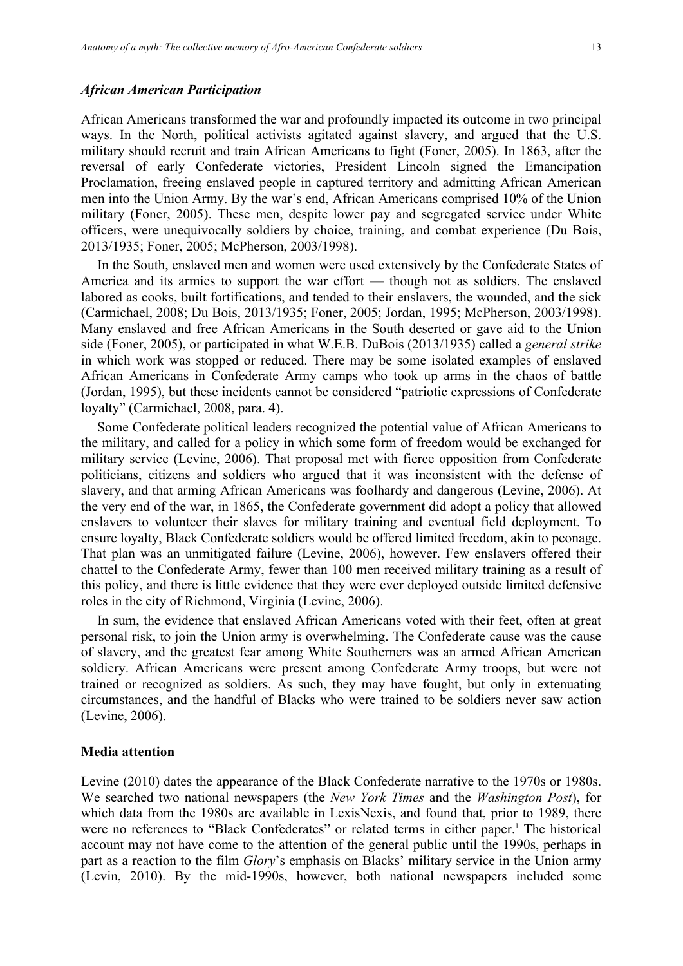#### *African American Participation*

African Americans transformed the war and profoundly impacted its outcome in two principal ways. In the North, political activists agitated against slavery, and argued that the U.S. military should recruit and train African Americans to fight (Foner, 2005). In 1863, after the reversal of early Confederate victories, President Lincoln signed the Emancipation Proclamation, freeing enslaved people in captured territory and admitting African American men into the Union Army. By the war's end, African Americans comprised 10% of the Union military (Foner, 2005). These men, despite lower pay and segregated service under White officers, were unequivocally soldiers by choice, training, and combat experience (Du Bois, 2013/1935; Foner, 2005; McPherson, 2003/1998).

In the South, enslaved men and women were used extensively by the Confederate States of America and its armies to support the war effort — though not as soldiers. The enslaved labored as cooks, built fortifications, and tended to their enslavers, the wounded, and the sick (Carmichael, 2008; Du Bois, 2013/1935; Foner, 2005; Jordan, 1995; McPherson, 2003/1998). Many enslaved and free African Americans in the South deserted or gave aid to the Union side (Foner, 2005), or participated in what W.E.B. DuBois (2013/1935) called a *general strike*  in which work was stopped or reduced. There may be some isolated examples of enslaved African Americans in Confederate Army camps who took up arms in the chaos of battle (Jordan, 1995), but these incidents cannot be considered "patriotic expressions of Confederate loyalty" (Carmichael, 2008, para. 4).

Some Confederate political leaders recognized the potential value of African Americans to the military, and called for a policy in which some form of freedom would be exchanged for military service (Levine, 2006). That proposal met with fierce opposition from Confederate politicians, citizens and soldiers who argued that it was inconsistent with the defense of slavery, and that arming African Americans was foolhardy and dangerous (Levine, 2006). At the very end of the war, in 1865, the Confederate government did adopt a policy that allowed enslavers to volunteer their slaves for military training and eventual field deployment. To ensure loyalty, Black Confederate soldiers would be offered limited freedom, akin to peonage. That plan was an unmitigated failure (Levine, 2006), however. Few enslavers offered their chattel to the Confederate Army, fewer than 100 men received military training as a result of this policy, and there is little evidence that they were ever deployed outside limited defensive roles in the city of Richmond, Virginia (Levine, 2006).

In sum, the evidence that enslaved African Americans voted with their feet, often at great personal risk, to join the Union army is overwhelming. The Confederate cause was the cause of slavery, and the greatest fear among White Southerners was an armed African American soldiery. African Americans were present among Confederate Army troops, but were not trained or recognized as soldiers. As such, they may have fought, but only in extenuating circumstances, and the handful of Blacks who were trained to be soldiers never saw action (Levine, 2006).

#### **Media attention**

Levine (2010) dates the appearance of the Black Confederate narrative to the 1970s or 1980s. We searched two national newspapers (the *New York Times* and the *Washington Post*), for which data from the 1980s are available in LexisNexis, and found that, prior to 1989, there were no references to "Black Confederates" or related terms in either paper.<sup>1</sup> The historical account may not have come to the attention of the general public until the 1990s, perhaps in part as a reaction to the film *Glory*'s emphasis on Blacks' military service in the Union army (Levin, 2010). By the mid-1990s, however, both national newspapers included some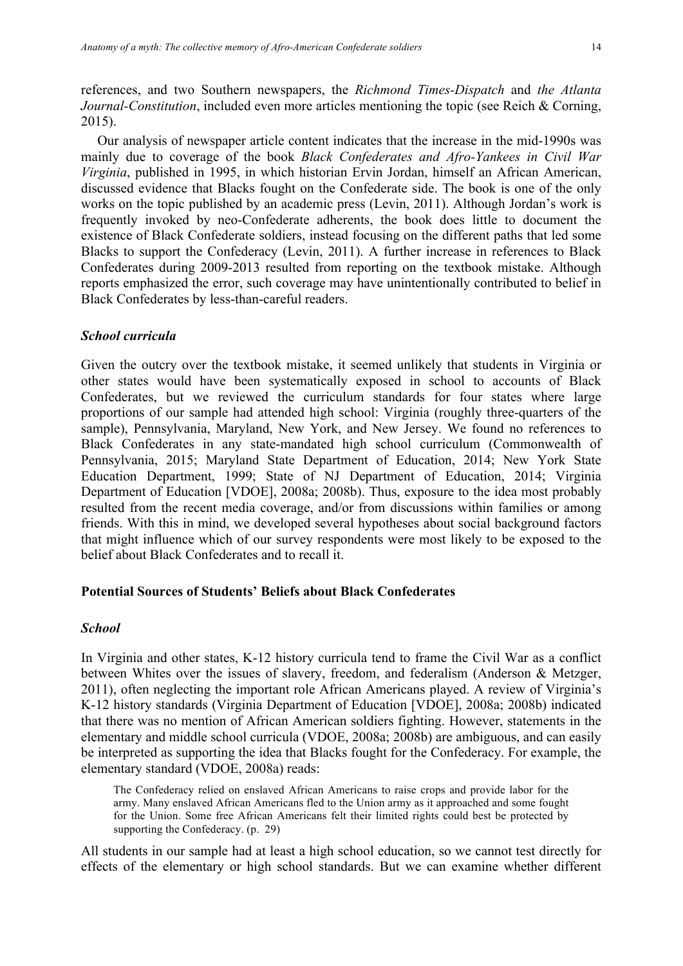references, and two Southern newspapers, the *Richmond Times-Dispatch* and *the Atlanta Journal-Constitution*, included even more articles mentioning the topic (see Reich & Corning, 2015).

Our analysis of newspaper article content indicates that the increase in the mid-1990s was mainly due to coverage of the book *Black Confederates and Afro-Yankees in Civil War Virginia*, published in 1995, in which historian Ervin Jordan, himself an African American, discussed evidence that Blacks fought on the Confederate side. The book is one of the only works on the topic published by an academic press (Levin, 2011). Although Jordan's work is frequently invoked by neo-Confederate adherents, the book does little to document the existence of Black Confederate soldiers, instead focusing on the different paths that led some Blacks to support the Confederacy (Levin, 2011). A further increase in references to Black Confederates during 2009-2013 resulted from reporting on the textbook mistake. Although reports emphasized the error, such coverage may have unintentionally contributed to belief in Black Confederates by less-than-careful readers.

#### *School curricula*

Given the outcry over the textbook mistake, it seemed unlikely that students in Virginia or other states would have been systematically exposed in school to accounts of Black Confederates, but we reviewed the curriculum standards for four states where large proportions of our sample had attended high school: Virginia (roughly three-quarters of the sample), Pennsylvania, Maryland, New York, and New Jersey. We found no references to Black Confederates in any state-mandated high school curriculum (Commonwealth of Pennsylvania, 2015; Maryland State Department of Education, 2014; New York State Education Department, 1999; State of NJ Department of Education, 2014; Virginia Department of Education [VDOE], 2008a; 2008b). Thus, exposure to the idea most probably resulted from the recent media coverage, and/or from discussions within families or among friends. With this in mind, we developed several hypotheses about social background factors that might influence which of our survey respondents were most likely to be exposed to the belief about Black Confederates and to recall it.

# **Potential Sources of Students' Beliefs about Black Confederates**

## *School*

In Virginia and other states, K-12 history curricula tend to frame the Civil War as a conflict between Whites over the issues of slavery, freedom, and federalism (Anderson & Metzger, 2011), often neglecting the important role African Americans played. A review of Virginia's K-12 history standards (Virginia Department of Education [VDOE], 2008a; 2008b) indicated that there was no mention of African American soldiers fighting. However, statements in the elementary and middle school curricula (VDOE, 2008a; 2008b) are ambiguous, and can easily be interpreted as supporting the idea that Blacks fought for the Confederacy. For example, the elementary standard (VDOE, 2008a) reads:

The Confederacy relied on enslaved African Americans to raise crops and provide labor for the army. Many enslaved African Americans fled to the Union army as it approached and some fought for the Union. Some free African Americans felt their limited rights could best be protected by supporting the Confederacy. (p. 29)

All students in our sample had at least a high school education, so we cannot test directly for effects of the elementary or high school standards. But we can examine whether different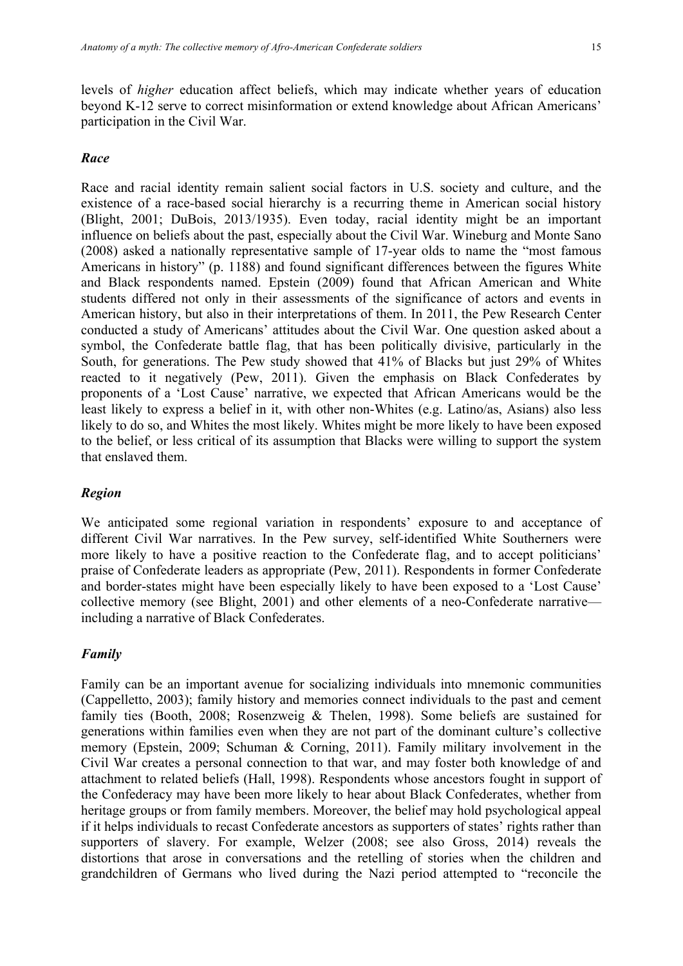levels of *higher* education affect beliefs, which may indicate whether years of education beyond K-12 serve to correct misinformation or extend knowledge about African Americans' participation in the Civil War.

# *Race*

Race and racial identity remain salient social factors in U.S. society and culture, and the existence of a race-based social hierarchy is a recurring theme in American social history (Blight, 2001; DuBois, 2013/1935). Even today, racial identity might be an important influence on beliefs about the past, especially about the Civil War. Wineburg and Monte Sano (2008) asked a nationally representative sample of 17-year olds to name the "most famous Americans in history" (p. 1188) and found significant differences between the figures White and Black respondents named. Epstein (2009) found that African American and White students differed not only in their assessments of the significance of actors and events in American history, but also in their interpretations of them. In 2011, the Pew Research Center conducted a study of Americans' attitudes about the Civil War. One question asked about a symbol, the Confederate battle flag, that has been politically divisive, particularly in the South, for generations. The Pew study showed that 41% of Blacks but just 29% of Whites reacted to it negatively (Pew, 2011). Given the emphasis on Black Confederates by proponents of a 'Lost Cause' narrative, we expected that African Americans would be the least likely to express a belief in it, with other non-Whites (e.g. Latino/as, Asians) also less likely to do so, and Whites the most likely. Whites might be more likely to have been exposed to the belief, or less critical of its assumption that Blacks were willing to support the system that enslaved them.

#### *Region*

We anticipated some regional variation in respondents' exposure to and acceptance of different Civil War narratives. In the Pew survey, self-identified White Southerners were more likely to have a positive reaction to the Confederate flag, and to accept politicians' praise of Confederate leaders as appropriate (Pew, 2011). Respondents in former Confederate and border-states might have been especially likely to have been exposed to a 'Lost Cause' collective memory (see Blight, 2001) and other elements of a neo-Confederate narrative including a narrative of Black Confederates.

# *Family*

Family can be an important avenue for socializing individuals into mnemonic communities (Cappelletto, 2003); family history and memories connect individuals to the past and cement family ties (Booth, 2008; Rosenzweig & Thelen, 1998). Some beliefs are sustained for generations within families even when they are not part of the dominant culture's collective memory (Epstein, 2009; Schuman & Corning, 2011). Family military involvement in the Civil War creates a personal connection to that war, and may foster both knowledge of and attachment to related beliefs (Hall, 1998). Respondents whose ancestors fought in support of the Confederacy may have been more likely to hear about Black Confederates, whether from heritage groups or from family members. Moreover, the belief may hold psychological appeal if it helps individuals to recast Confederate ancestors as supporters of states' rights rather than supporters of slavery. For example, Welzer (2008; see also Gross, 2014) reveals the distortions that arose in conversations and the retelling of stories when the children and grandchildren of Germans who lived during the Nazi period attempted to "reconcile the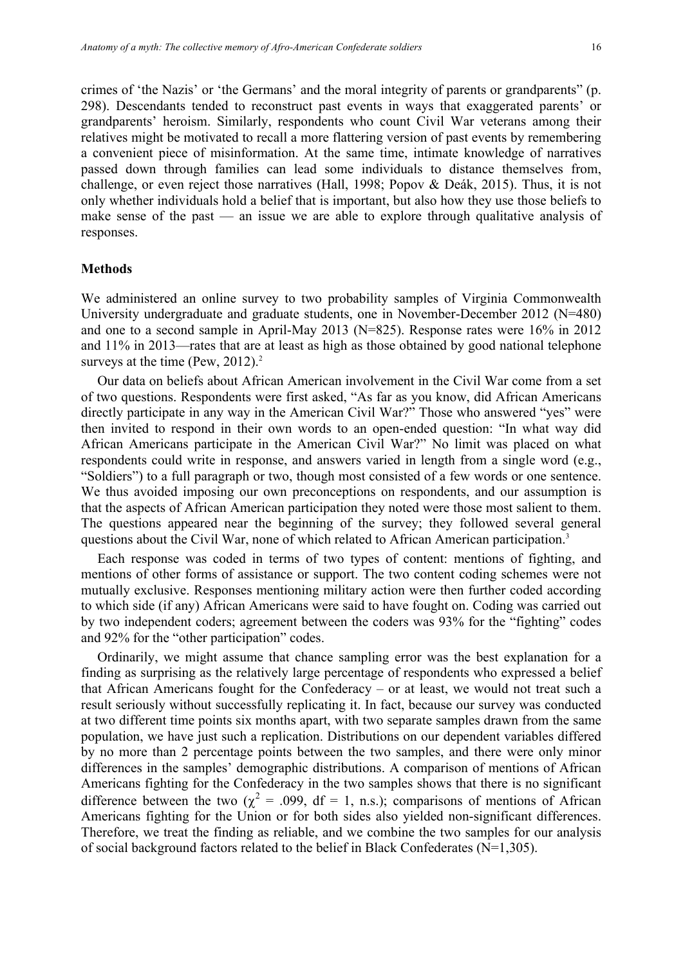crimes of 'the Nazis' or 'the Germans' and the moral integrity of parents or grandparents" (p. 298). Descendants tended to reconstruct past events in ways that exaggerated parents' or grandparents' heroism. Similarly, respondents who count Civil War veterans among their relatives might be motivated to recall a more flattering version of past events by remembering a convenient piece of misinformation. At the same time, intimate knowledge of narratives passed down through families can lead some individuals to distance themselves from, challenge, or even reject those narratives (Hall, 1998; Popov & Deák, 2015). Thus, it is not only whether individuals hold a belief that is important, but also how they use those beliefs to make sense of the past — an issue we are able to explore through qualitative analysis of responses.

#### **Methods**

We administered an online survey to two probability samples of Virginia Commonwealth University undergraduate and graduate students, one in November-December 2012 (N=480) and one to a second sample in April-May 2013 (N=825). Response rates were 16% in 2012 and 11% in 2013—rates that are at least as high as those obtained by good national telephone surveys at the time (Pew,  $2012$ ).<sup>2</sup>

Our data on beliefs about African American involvement in the Civil War come from a set of two questions. Respondents were first asked, "As far as you know, did African Americans directly participate in any way in the American Civil War?" Those who answered "yes" were then invited to respond in their own words to an open-ended question: "In what way did African Americans participate in the American Civil War?" No limit was placed on what respondents could write in response, and answers varied in length from a single word (e.g., "Soldiers") to a full paragraph or two, though most consisted of a few words or one sentence. We thus avoided imposing our own preconceptions on respondents, and our assumption is that the aspects of African American participation they noted were those most salient to them. The questions appeared near the beginning of the survey; they followed several general questions about the Civil War, none of which related to African American participation.<sup>3</sup>

Each response was coded in terms of two types of content: mentions of fighting, and mentions of other forms of assistance or support. The two content coding schemes were not mutually exclusive. Responses mentioning military action were then further coded according to which side (if any) African Americans were said to have fought on. Coding was carried out by two independent coders; agreement between the coders was 93% for the "fighting" codes and 92% for the "other participation" codes.

Ordinarily, we might assume that chance sampling error was the best explanation for a finding as surprising as the relatively large percentage of respondents who expressed a belief that African Americans fought for the Confederacy – or at least, we would not treat such a result seriously without successfully replicating it. In fact, because our survey was conducted at two different time points six months apart, with two separate samples drawn from the same population, we have just such a replication. Distributions on our dependent variables differed by no more than 2 percentage points between the two samples, and there were only minor differences in the samples' demographic distributions. A comparison of mentions of African Americans fighting for the Confederacy in the two samples shows that there is no significant difference between the two ( $\chi^2$  = .099, df = 1, n.s.); comparisons of mentions of African Americans fighting for the Union or for both sides also yielded non-significant differences. Therefore, we treat the finding as reliable, and we combine the two samples for our analysis of social background factors related to the belief in Black Confederates (N=1,305).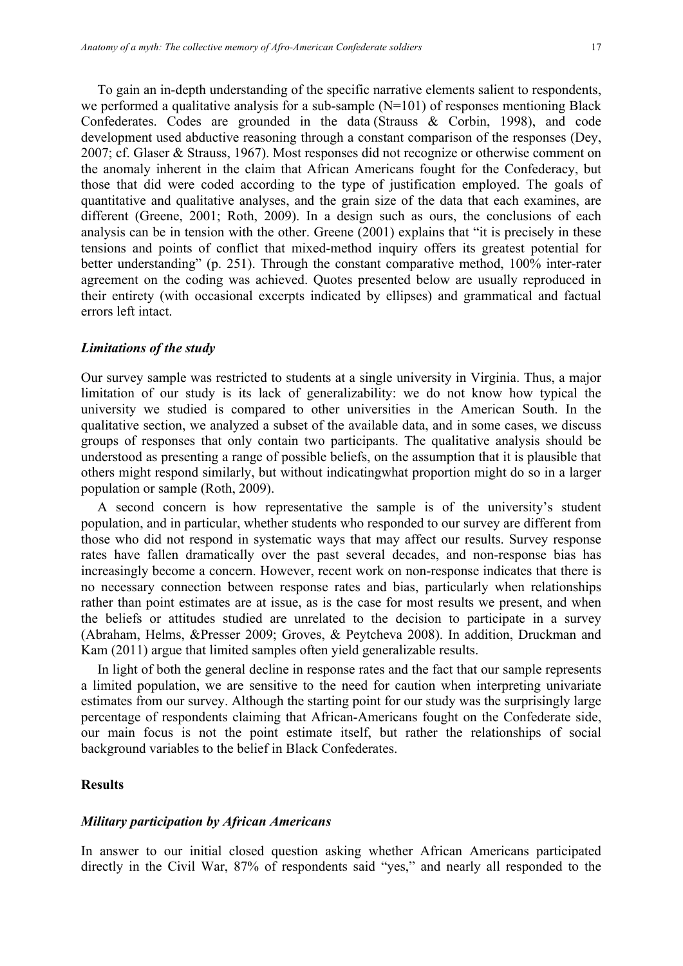To gain an in-depth understanding of the specific narrative elements salient to respondents, we performed a qualitative analysis for a sub-sample  $(N=101)$  of responses mentioning Black Confederates. Codes are grounded in the data (Strauss & Corbin, 1998), and code development used abductive reasoning through a constant comparison of the responses (Dey, 2007; cf. Glaser & Strauss, 1967). Most responses did not recognize or otherwise comment on the anomaly inherent in the claim that African Americans fought for the Confederacy, but those that did were coded according to the type of justification employed. The goals of quantitative and qualitative analyses, and the grain size of the data that each examines, are different (Greene, 2001; Roth, 2009). In a design such as ours, the conclusions of each analysis can be in tension with the other. Greene (2001) explains that "it is precisely in these tensions and points of conflict that mixed-method inquiry offers its greatest potential for better understanding" (p. 251). Through the constant comparative method, 100% inter-rater agreement on the coding was achieved. Quotes presented below are usually reproduced in their entirety (with occasional excerpts indicated by ellipses) and grammatical and factual errors left intact.

#### *Limitations of the study*

Our survey sample was restricted to students at a single university in Virginia. Thus, a major limitation of our study is its lack of generalizability: we do not know how typical the university we studied is compared to other universities in the American South. In the qualitative section, we analyzed a subset of the available data, and in some cases, we discuss groups of responses that only contain two participants. The qualitative analysis should be understood as presenting a range of possible beliefs, on the assumption that it is plausible that others might respond similarly, but without indicatingwhat proportion might do so in a larger population or sample (Roth, 2009).

A second concern is how representative the sample is of the university's student population, and in particular, whether students who responded to our survey are different from those who did not respond in systematic ways that may affect our results. Survey response rates have fallen dramatically over the past several decades, and non-response bias has increasingly become a concern. However, recent work on non-response indicates that there is no necessary connection between response rates and bias, particularly when relationships rather than point estimates are at issue, as is the case for most results we present, and when the beliefs or attitudes studied are unrelated to the decision to participate in a survey (Abraham, Helms, &Presser 2009; Groves, & Peytcheva 2008). In addition, Druckman and Kam (2011) argue that limited samples often yield generalizable results.

In light of both the general decline in response rates and the fact that our sample represents a limited population, we are sensitive to the need for caution when interpreting univariate estimates from our survey. Although the starting point for our study was the surprisingly large percentage of respondents claiming that African-Americans fought on the Confederate side, our main focus is not the point estimate itself, but rather the relationships of social background variables to the belief in Black Confederates.

# **Results**

#### *Military participation by African Americans*

In answer to our initial closed question asking whether African Americans participated directly in the Civil War, 87% of respondents said "yes," and nearly all responded to the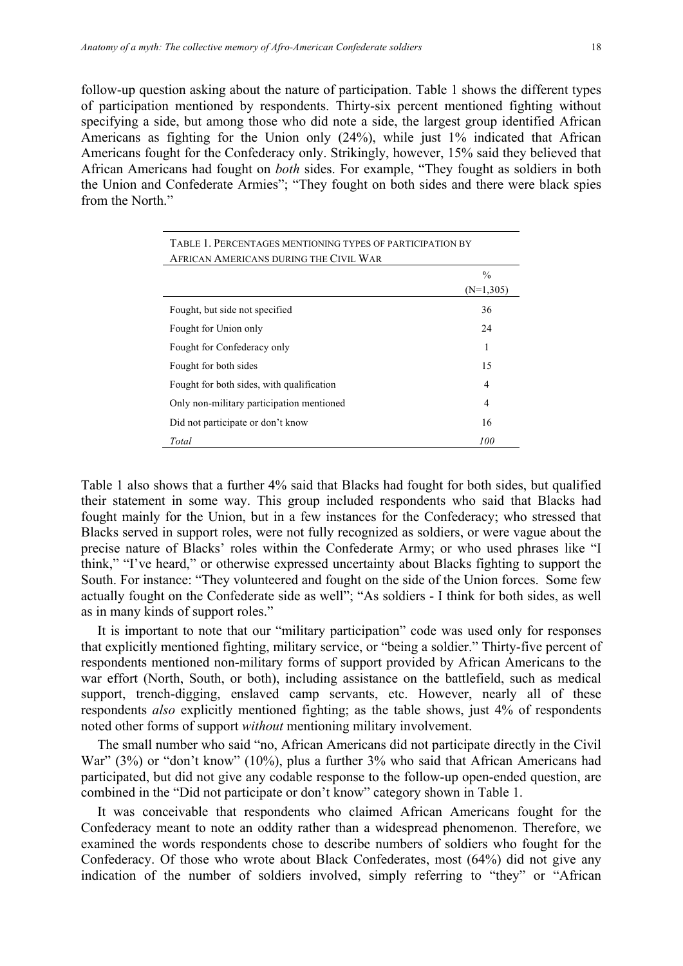follow-up question asking about the nature of participation. Table 1 shows the different types of participation mentioned by respondents. Thirty-six percent mentioned fighting without specifying a side, but among those who did note a side, the largest group identified African Americans as fighting for the Union only (24%), while just 1% indicated that African Americans fought for the Confederacy only. Strikingly, however, 15% said they believed that African Americans had fought on *both* sides. For example, "They fought as soldiers in both the Union and Confederate Armies"; "They fought on both sides and there were black spies from the North"

| TABLE 1. PERCENTAGES MENTIONING TYPES OF PARTICIPATION BY<br>AFRICAN AMERICANS DURING THE CIVIL WAR |               |  |  |
|-----------------------------------------------------------------------------------------------------|---------------|--|--|
|                                                                                                     | $\frac{0}{0}$ |  |  |
|                                                                                                     | $(N=1,305)$   |  |  |
| Fought, but side not specified                                                                      | 36            |  |  |
| Fought for Union only                                                                               | 24            |  |  |
| Fought for Confederacy only                                                                         | 1             |  |  |
| Fought for both sides                                                                               | 15            |  |  |
| Fought for both sides, with qualification                                                           | 4             |  |  |
| Only non-military participation mentioned                                                           | 4             |  |  |
| Did not participate or don't know                                                                   | 16            |  |  |
| Total                                                                                               | 100           |  |  |

Table 1 also shows that a further 4% said that Blacks had fought for both sides, but qualified their statement in some way. This group included respondents who said that Blacks had fought mainly for the Union, but in a few instances for the Confederacy; who stressed that Blacks served in support roles, were not fully recognized as soldiers, or were vague about the precise nature of Blacks' roles within the Confederate Army; or who used phrases like "I think," "I've heard," or otherwise expressed uncertainty about Blacks fighting to support the South. For instance: "They volunteered and fought on the side of the Union forces. Some few actually fought on the Confederate side as well"; "As soldiers - I think for both sides, as well as in many kinds of support roles."

It is important to note that our "military participation" code was used only for responses that explicitly mentioned fighting, military service, or "being a soldier." Thirty-five percent of respondents mentioned non-military forms of support provided by African Americans to the war effort (North, South, or both), including assistance on the battlefield, such as medical support, trench-digging, enslaved camp servants, etc. However, nearly all of these respondents *also* explicitly mentioned fighting; as the table shows, just 4% of respondents noted other forms of support *without* mentioning military involvement.

The small number who said "no, African Americans did not participate directly in the Civil War" (3%) or "don't know" (10%), plus a further 3% who said that African Americans had participated, but did not give any codable response to the follow-up open-ended question, are combined in the "Did not participate or don't know" category shown in Table 1.

It was conceivable that respondents who claimed African Americans fought for the Confederacy meant to note an oddity rather than a widespread phenomenon. Therefore, we examined the words respondents chose to describe numbers of soldiers who fought for the Confederacy. Of those who wrote about Black Confederates, most (64%) did not give any indication of the number of soldiers involved, simply referring to "they" or "African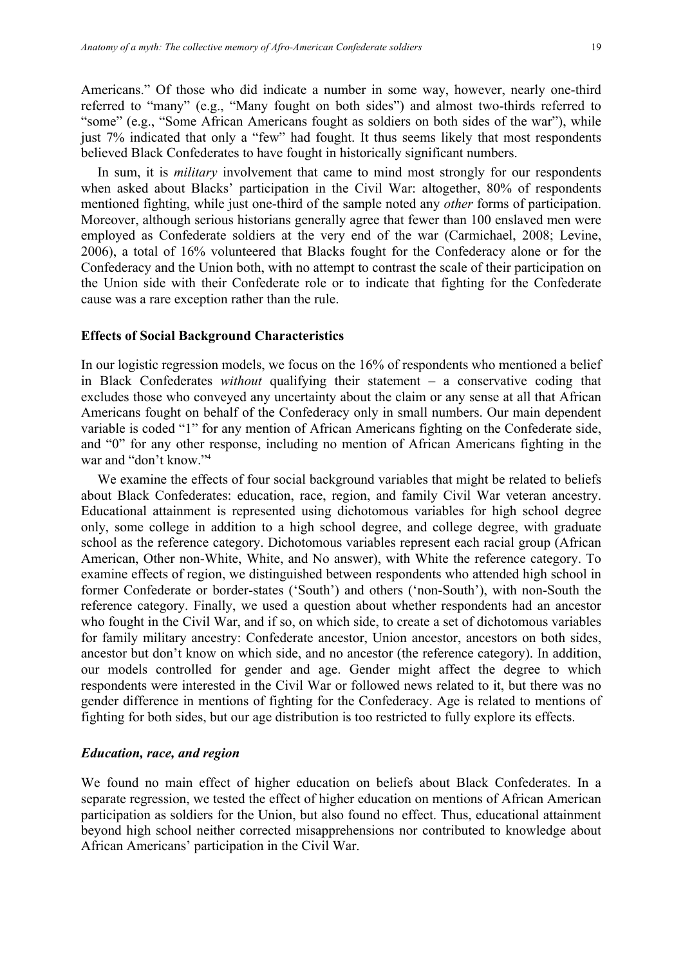Americans." Of those who did indicate a number in some way, however, nearly one-third referred to "many" (e.g., "Many fought on both sides") and almost two-thirds referred to "some" (e.g., "Some African Americans fought as soldiers on both sides of the war"), while just 7% indicated that only a "few" had fought. It thus seems likely that most respondents believed Black Confederates to have fought in historically significant numbers.

In sum, it is *military* involvement that came to mind most strongly for our respondents when asked about Blacks' participation in the Civil War: altogether, 80% of respondents mentioned fighting, while just one-third of the sample noted any *other* forms of participation. Moreover, although serious historians generally agree that fewer than 100 enslaved men were employed as Confederate soldiers at the very end of the war (Carmichael, 2008; Levine, 2006), a total of 16% volunteered that Blacks fought for the Confederacy alone or for the Confederacy and the Union both, with no attempt to contrast the scale of their participation on the Union side with their Confederate role or to indicate that fighting for the Confederate cause was a rare exception rather than the rule.

#### **Effects of Social Background Characteristics**

In our logistic regression models, we focus on the 16% of respondents who mentioned a belief in Black Confederates *without* qualifying their statement – a conservative coding that excludes those who conveyed any uncertainty about the claim or any sense at all that African Americans fought on behalf of the Confederacy only in small numbers. Our main dependent variable is coded "1" for any mention of African Americans fighting on the Confederate side, and "0" for any other response, including no mention of African Americans fighting in the war and "don't know."4

We examine the effects of four social background variables that might be related to beliefs about Black Confederates: education, race, region, and family Civil War veteran ancestry. Educational attainment is represented using dichotomous variables for high school degree only, some college in addition to a high school degree, and college degree, with graduate school as the reference category. Dichotomous variables represent each racial group (African American, Other non-White, White, and No answer), with White the reference category. To examine effects of region, we distinguished between respondents who attended high school in former Confederate or border-states ('South') and others ('non-South'), with non-South the reference category. Finally, we used a question about whether respondents had an ancestor who fought in the Civil War, and if so, on which side, to create a set of dichotomous variables for family military ancestry: Confederate ancestor, Union ancestor, ancestors on both sides, ancestor but don't know on which side, and no ancestor (the reference category). In addition, our models controlled for gender and age. Gender might affect the degree to which respondents were interested in the Civil War or followed news related to it, but there was no gender difference in mentions of fighting for the Confederacy. Age is related to mentions of fighting for both sides, but our age distribution is too restricted to fully explore its effects.

#### *Education, race, and region*

We found no main effect of higher education on beliefs about Black Confederates. In a separate regression, we tested the effect of higher education on mentions of African American participation as soldiers for the Union, but also found no effect. Thus, educational attainment beyond high school neither corrected misapprehensions nor contributed to knowledge about African Americans' participation in the Civil War.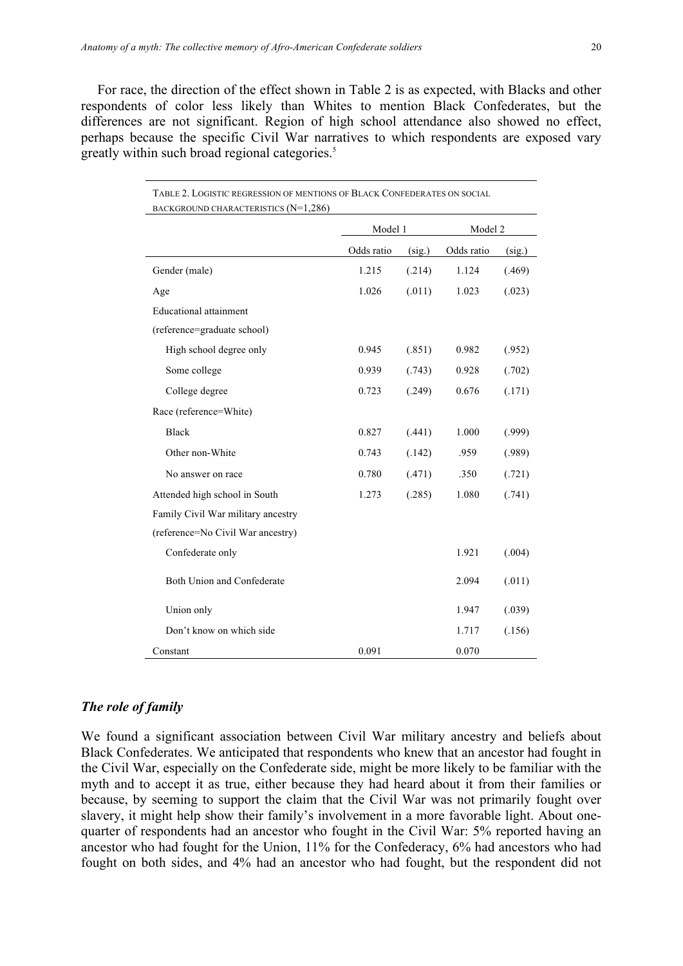For race, the direction of the effect shown in Table 2 is as expected, with Blacks and other respondents of color less likely than Whites to mention Black Confederates, but the differences are not significant. Region of high school attendance also showed no effect, perhaps because the specific Civil War narratives to which respondents are exposed vary greatly within such broad regional categories.<sup>5</sup>

| TABLE 2. LOGISTIC REGRESSION OF MENTIONS OF BLACK CONFEDERATES ON SOCIAL |            |        |            |        |
|--------------------------------------------------------------------------|------------|--------|------------|--------|
| BACKGROUND CHARACTERISTICS $(N=1,286)$                                   |            |        |            |        |
|                                                                          | Model 1    |        | Model 2    |        |
|                                                                          | Odds ratio | (sig.) | Odds ratio | (sig.) |
| Gender (male)                                                            | 1.215      | (.214) | 1.124      | (.469) |
| Age                                                                      | 1.026      | (.011) | 1.023      | (.023) |
| <b>Educational</b> attainment                                            |            |        |            |        |
| (reference=graduate school)                                              |            |        |            |        |
| High school degree only                                                  | 0.945      | (.851) | 0.982      | (.952) |
| Some college                                                             | 0.939      | (.743) | 0.928      | (.702) |
| College degree                                                           | 0.723      | (.249) | 0.676      | (.171) |
| Race (reference=White)                                                   |            |        |            |        |
| <b>Black</b>                                                             | 0.827      | (.441) | 1.000      | (.999) |
| Other non-White                                                          | 0.743      | (.142) | .959       | (.989) |
| No answer on race                                                        | 0.780      | (.471) | .350       | (.721) |
| Attended high school in South                                            | 1.273      | (.285) | 1.080      | (.741) |
| Family Civil War military ancestry                                       |            |        |            |        |
| (reference=No Civil War ancestry)                                        |            |        |            |        |
| Confederate only                                                         |            |        | 1.921      | (.004) |
| Both Union and Confederate                                               |            |        | 2.094      | (.011) |
| Union only                                                               |            |        | 1.947      | (.039) |
| Don't know on which side                                                 |            |        | 1.717      | (.156) |
| Constant                                                                 | 0.091      |        | 0.070      |        |

#### *The role of family*

We found a significant association between Civil War military ancestry and beliefs about Black Confederates. We anticipated that respondents who knew that an ancestor had fought in the Civil War, especially on the Confederate side, might be more likely to be familiar with the myth and to accept it as true, either because they had heard about it from their families or because, by seeming to support the claim that the Civil War was not primarily fought over slavery, it might help show their family's involvement in a more favorable light. About onequarter of respondents had an ancestor who fought in the Civil War: 5% reported having an ancestor who had fought for the Union, 11% for the Confederacy, 6% had ancestors who had fought on both sides, and 4% had an ancestor who had fought, but the respondent did not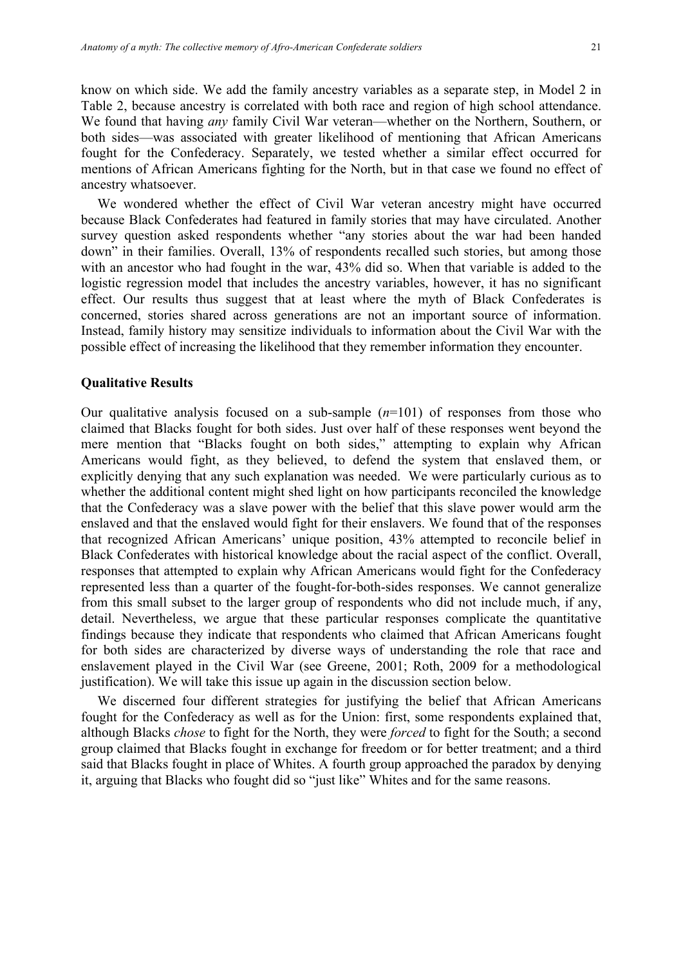know on which side. We add the family ancestry variables as a separate step, in Model 2 in Table 2, because ancestry is correlated with both race and region of high school attendance. We found that having *any* family Civil War veteran—whether on the Northern, Southern, or both sides—was associated with greater likelihood of mentioning that African Americans fought for the Confederacy. Separately, we tested whether a similar effect occurred for mentions of African Americans fighting for the North, but in that case we found no effect of ancestry whatsoever.

We wondered whether the effect of Civil War veteran ancestry might have occurred because Black Confederates had featured in family stories that may have circulated. Another survey question asked respondents whether "any stories about the war had been handed down" in their families. Overall, 13% of respondents recalled such stories, but among those with an ancestor who had fought in the war, 43% did so. When that variable is added to the logistic regression model that includes the ancestry variables, however, it has no significant effect. Our results thus suggest that at least where the myth of Black Confederates is concerned, stories shared across generations are not an important source of information. Instead, family history may sensitize individuals to information about the Civil War with the possible effect of increasing the likelihood that they remember information they encounter.

#### **Qualitative Results**

Our qualitative analysis focused on a sub-sample  $(n=101)$  of responses from those who claimed that Blacks fought for both sides. Just over half of these responses went beyond the mere mention that "Blacks fought on both sides," attempting to explain why African Americans would fight, as they believed, to defend the system that enslaved them, or explicitly denying that any such explanation was needed. We were particularly curious as to whether the additional content might shed light on how participants reconciled the knowledge that the Confederacy was a slave power with the belief that this slave power would arm the enslaved and that the enslaved would fight for their enslavers. We found that of the responses that recognized African Americans' unique position, 43% attempted to reconcile belief in Black Confederates with historical knowledge about the racial aspect of the conflict. Overall, responses that attempted to explain why African Americans would fight for the Confederacy represented less than a quarter of the fought-for-both-sides responses. We cannot generalize from this small subset to the larger group of respondents who did not include much, if any, detail. Nevertheless, we argue that these particular responses complicate the quantitative findings because they indicate that respondents who claimed that African Americans fought for both sides are characterized by diverse ways of understanding the role that race and enslavement played in the Civil War (see Greene, 2001; Roth, 2009 for a methodological justification). We will take this issue up again in the discussion section below.

We discerned four different strategies for justifying the belief that African Americans fought for the Confederacy as well as for the Union: first, some respondents explained that, although Blacks *chose* to fight for the North, they were *forced* to fight for the South; a second group claimed that Blacks fought in exchange for freedom or for better treatment; and a third said that Blacks fought in place of Whites. A fourth group approached the paradox by denying it, arguing that Blacks who fought did so "just like" Whites and for the same reasons.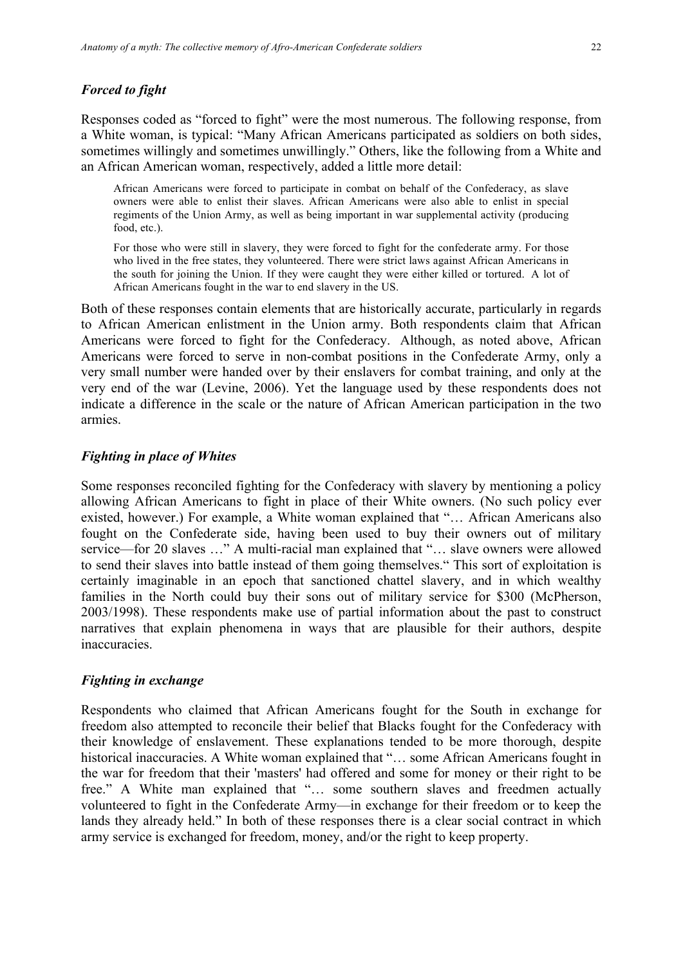#### *Forced to fight*

Responses coded as "forced to fight" were the most numerous. The following response, from a White woman, is typical: "Many African Americans participated as soldiers on both sides, sometimes willingly and sometimes unwillingly." Others, like the following from a White and an African American woman, respectively, added a little more detail:

African Americans were forced to participate in combat on behalf of the Confederacy, as slave owners were able to enlist their slaves. African Americans were also able to enlist in special regiments of the Union Army, as well as being important in war supplemental activity (producing food, etc.).

For those who were still in slavery, they were forced to fight for the confederate army. For those who lived in the free states, they volunteered. There were strict laws against African Americans in the south for joining the Union. If they were caught they were either killed or tortured. A lot of African Americans fought in the war to end slavery in the US.

Both of these responses contain elements that are historically accurate, particularly in regards to African American enlistment in the Union army. Both respondents claim that African Americans were forced to fight for the Confederacy. Although, as noted above, African Americans were forced to serve in non-combat positions in the Confederate Army, only a very small number were handed over by their enslavers for combat training, and only at the very end of the war (Levine, 2006). Yet the language used by these respondents does not indicate a difference in the scale or the nature of African American participation in the two armies.

#### *Fighting in place of Whites*

Some responses reconciled fighting for the Confederacy with slavery by mentioning a policy allowing African Americans to fight in place of their White owners. (No such policy ever existed, however.) For example, a White woman explained that "… African Americans also fought on the Confederate side, having been used to buy their owners out of military service—for 20 slaves …" A multi-racial man explained that "… slave owners were allowed to send their slaves into battle instead of them going themselves." This sort of exploitation is certainly imaginable in an epoch that sanctioned chattel slavery, and in which wealthy families in the North could buy their sons out of military service for \$300 (McPherson, 2003/1998). These respondents make use of partial information about the past to construct narratives that explain phenomena in ways that are plausible for their authors, despite inaccuracies.

# *Fighting in exchange*

Respondents who claimed that African Americans fought for the South in exchange for freedom also attempted to reconcile their belief that Blacks fought for the Confederacy with their knowledge of enslavement. These explanations tended to be more thorough, despite historical inaccuracies. A White woman explained that "... some African Americans fought in the war for freedom that their 'masters' had offered and some for money or their right to be free." A White man explained that "… some southern slaves and freedmen actually volunteered to fight in the Confederate Army—in exchange for their freedom or to keep the lands they already held." In both of these responses there is a clear social contract in which army service is exchanged for freedom, money, and/or the right to keep property.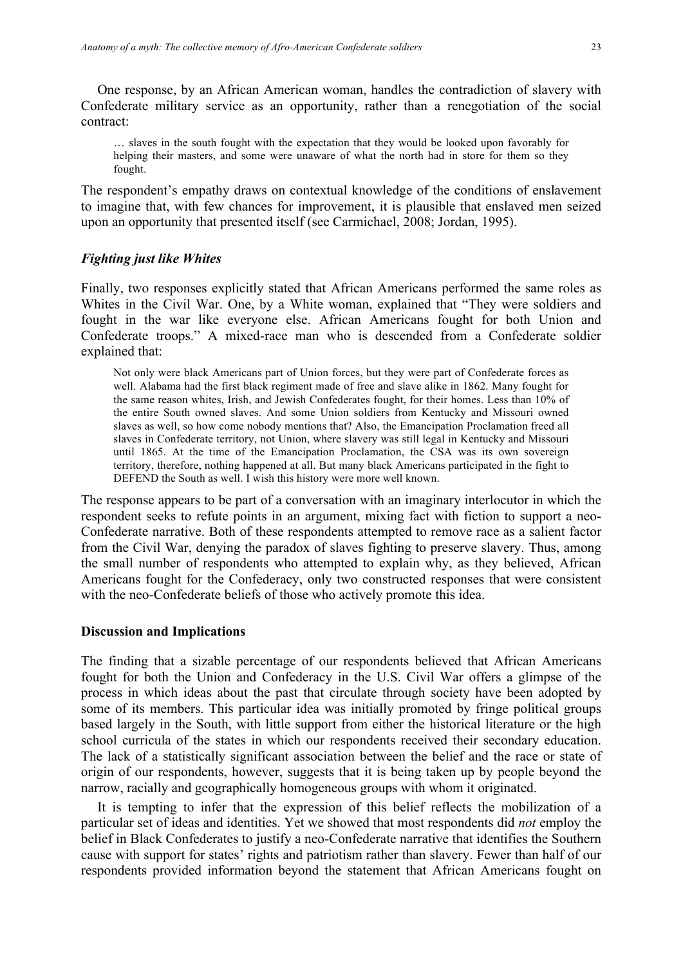One response, by an African American woman, handles the contradiction of slavery with Confederate military service as an opportunity, rather than a renegotiation of the social contract:

… slaves in the south fought with the expectation that they would be looked upon favorably for helping their masters, and some were unaware of what the north had in store for them so they fought.

The respondent's empathy draws on contextual knowledge of the conditions of enslavement to imagine that, with few chances for improvement, it is plausible that enslaved men seized upon an opportunity that presented itself (see Carmichael, 2008; Jordan, 1995).

# *Fighting just like Whites*

Finally, two responses explicitly stated that African Americans performed the same roles as Whites in the Civil War. One, by a White woman, explained that "They were soldiers and fought in the war like everyone else. African Americans fought for both Union and Confederate troops." A mixed-race man who is descended from a Confederate soldier explained that:

Not only were black Americans part of Union forces, but they were part of Confederate forces as well. Alabama had the first black regiment made of free and slave alike in 1862. Many fought for the same reason whites, Irish, and Jewish Confederates fought, for their homes. Less than 10% of the entire South owned slaves. And some Union soldiers from Kentucky and Missouri owned slaves as well, so how come nobody mentions that? Also, the Emancipation Proclamation freed all slaves in Confederate territory, not Union, where slavery was still legal in Kentucky and Missouri until 1865. At the time of the Emancipation Proclamation, the CSA was its own sovereign territory, therefore, nothing happened at all. But many black Americans participated in the fight to DEFEND the South as well. I wish this history were more well known.

The response appears to be part of a conversation with an imaginary interlocutor in which the respondent seeks to refute points in an argument, mixing fact with fiction to support a neo-Confederate narrative. Both of these respondents attempted to remove race as a salient factor from the Civil War, denying the paradox of slaves fighting to preserve slavery. Thus, among the small number of respondents who attempted to explain why, as they believed, African Americans fought for the Confederacy, only two constructed responses that were consistent with the neo-Confederate beliefs of those who actively promote this idea.

#### **Discussion and Implications**

The finding that a sizable percentage of our respondents believed that African Americans fought for both the Union and Confederacy in the U.S. Civil War offers a glimpse of the process in which ideas about the past that circulate through society have been adopted by some of its members. This particular idea was initially promoted by fringe political groups based largely in the South, with little support from either the historical literature or the high school curricula of the states in which our respondents received their secondary education. The lack of a statistically significant association between the belief and the race or state of origin of our respondents, however, suggests that it is being taken up by people beyond the narrow, racially and geographically homogeneous groups with whom it originated.

It is tempting to infer that the expression of this belief reflects the mobilization of a particular set of ideas and identities. Yet we showed that most respondents did *not* employ the belief in Black Confederates to justify a neo-Confederate narrative that identifies the Southern cause with support for states' rights and patriotism rather than slavery. Fewer than half of our respondents provided information beyond the statement that African Americans fought on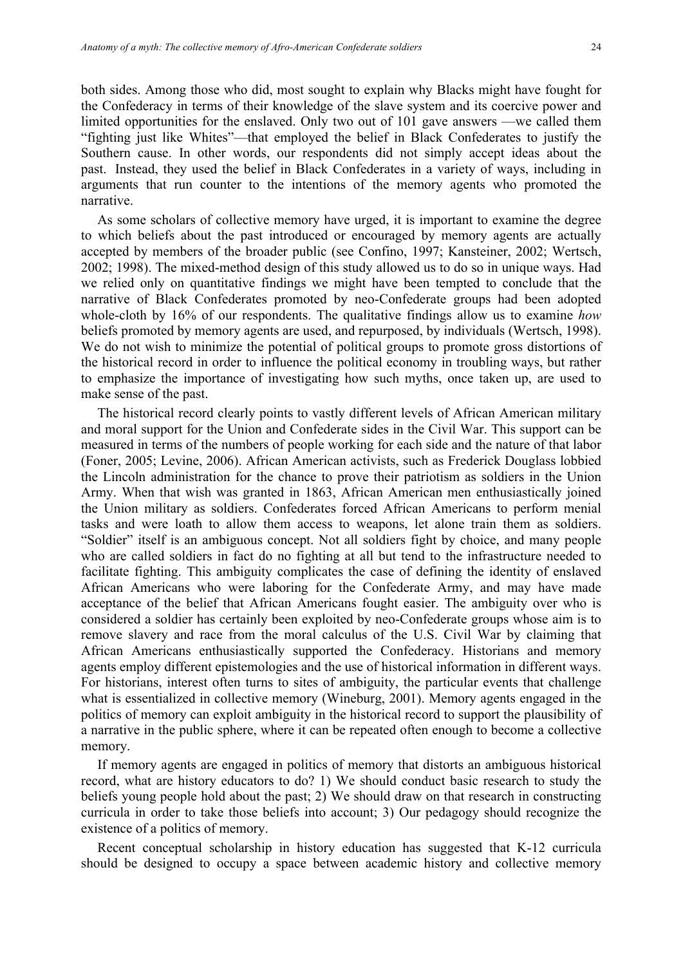both sides. Among those who did, most sought to explain why Blacks might have fought for the Confederacy in terms of their knowledge of the slave system and its coercive power and limited opportunities for the enslaved. Only two out of 101 gave answers —we called them "fighting just like Whites"—that employed the belief in Black Confederates to justify the Southern cause. In other words, our respondents did not simply accept ideas about the past. Instead, they used the belief in Black Confederates in a variety of ways, including in arguments that run counter to the intentions of the memory agents who promoted the narrative.

As some scholars of collective memory have urged, it is important to examine the degree to which beliefs about the past introduced or encouraged by memory agents are actually accepted by members of the broader public (see Confino, 1997; Kansteiner, 2002; Wertsch, 2002; 1998). The mixed-method design of this study allowed us to do so in unique ways. Had we relied only on quantitative findings we might have been tempted to conclude that the narrative of Black Confederates promoted by neo-Confederate groups had been adopted whole-cloth by 16% of our respondents. The qualitative findings allow us to examine *how* beliefs promoted by memory agents are used, and repurposed, by individuals (Wertsch, 1998). We do not wish to minimize the potential of political groups to promote gross distortions of the historical record in order to influence the political economy in troubling ways, but rather to emphasize the importance of investigating how such myths, once taken up, are used to make sense of the past.

The historical record clearly points to vastly different levels of African American military and moral support for the Union and Confederate sides in the Civil War. This support can be measured in terms of the numbers of people working for each side and the nature of that labor (Foner, 2005; Levine, 2006). African American activists, such as Frederick Douglass lobbied the Lincoln administration for the chance to prove their patriotism as soldiers in the Union Army. When that wish was granted in 1863, African American men enthusiastically joined the Union military as soldiers. Confederates forced African Americans to perform menial tasks and were loath to allow them access to weapons, let alone train them as soldiers. "Soldier" itself is an ambiguous concept. Not all soldiers fight by choice, and many people who are called soldiers in fact do no fighting at all but tend to the infrastructure needed to facilitate fighting. This ambiguity complicates the case of defining the identity of enslaved African Americans who were laboring for the Confederate Army, and may have made acceptance of the belief that African Americans fought easier. The ambiguity over who is considered a soldier has certainly been exploited by neo-Confederate groups whose aim is to remove slavery and race from the moral calculus of the U.S. Civil War by claiming that African Americans enthusiastically supported the Confederacy. Historians and memory agents employ different epistemologies and the use of historical information in different ways. For historians, interest often turns to sites of ambiguity, the particular events that challenge what is essentialized in collective memory (Wineburg, 2001). Memory agents engaged in the politics of memory can exploit ambiguity in the historical record to support the plausibility of a narrative in the public sphere, where it can be repeated often enough to become a collective memory.

If memory agents are engaged in politics of memory that distorts an ambiguous historical record, what are history educators to do? 1) We should conduct basic research to study the beliefs young people hold about the past; 2) We should draw on that research in constructing curricula in order to take those beliefs into account; 3) Our pedagogy should recognize the existence of a politics of memory.

Recent conceptual scholarship in history education has suggested that K-12 curricula should be designed to occupy a space between academic history and collective memory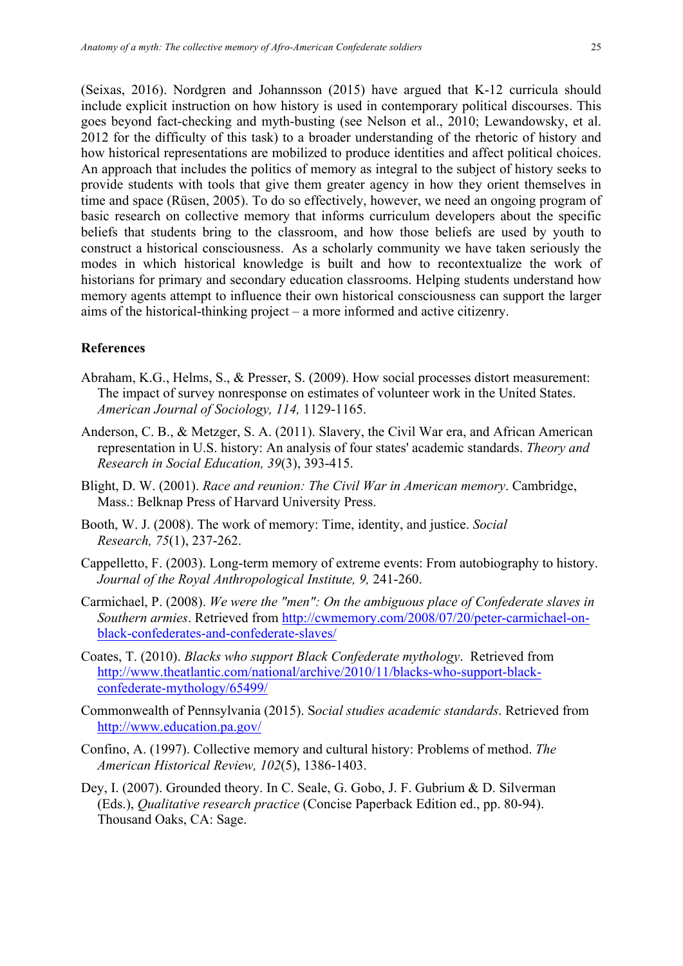(Seixas, 2016). Nordgren and Johannsson (2015) have argued that K-12 curricula should include explicit instruction on how history is used in contemporary political discourses. This goes beyond fact-checking and myth-busting (see Nelson et al., 2010; Lewandowsky, et al. 2012 for the difficulty of this task) to a broader understanding of the rhetoric of history and how historical representations are mobilized to produce identities and affect political choices. An approach that includes the politics of memory as integral to the subject of history seeks to provide students with tools that give them greater agency in how they orient themselves in time and space (Rüsen, 2005). To do so effectively, however, we need an ongoing program of basic research on collective memory that informs curriculum developers about the specific beliefs that students bring to the classroom, and how those beliefs are used by youth to construct a historical consciousness. As a scholarly community we have taken seriously the modes in which historical knowledge is built and how to recontextualize the work of historians for primary and secondary education classrooms. Helping students understand how memory agents attempt to influence their own historical consciousness can support the larger aims of the historical-thinking project – a more informed and active citizenry.

# **References**

- Abraham, K.G., Helms, S., & Presser, S. (2009). How social processes distort measurement: The impact of survey nonresponse on estimates of volunteer work in the United States. *American Journal of Sociology, 114,* 1129-1165.
- Anderson, C. B., & Metzger, S. A. (2011). Slavery, the Civil War era, and African American representation in U.S. history: An analysis of four states' academic standards. *Theory and Research in Social Education, 39*(3), 393-415.
- Blight, D. W. (2001). *Race and reunion: The Civil War in American memory*. Cambridge, Mass.: Belknap Press of Harvard University Press.
- Booth, W. J. (2008). The work of memory: Time, identity, and justice. *Social Research, 75*(1), 237-262.
- Cappelletto, F. (2003). Long-term memory of extreme events: From autobiography to history. *Journal of the Royal Anthropological Institute, 9,* 241-260.
- Carmichael, P. (2008). *We were the "men": On the ambiguous place of Confederate slaves in Southern armies*. Retrieved from http://cwmemory.com/2008/07/20/peter-carmichael-onblack-confederates-and-confederate-slaves/
- Coates, T. (2010). *Blacks who support Black Confederate mythology*. Retrieved from http://www.theatlantic.com/national/archive/2010/11/blacks-who-support-blackconfederate-mythology/65499/
- Commonwealth of Pennsylvania (2015). S*ocial studies academic standards*. Retrieved from http://www.education.pa.gov/
- Confino, A. (1997). Collective memory and cultural history: Problems of method. *The American Historical Review, 102*(5), 1386-1403.
- Dey, I. (2007). Grounded theory. In C. Seale, G. Gobo, J. F. Gubrium & D. Silverman (Eds.), *Qualitative research practice* (Concise Paperback Edition ed., pp. 80-94). Thousand Oaks, CA: Sage.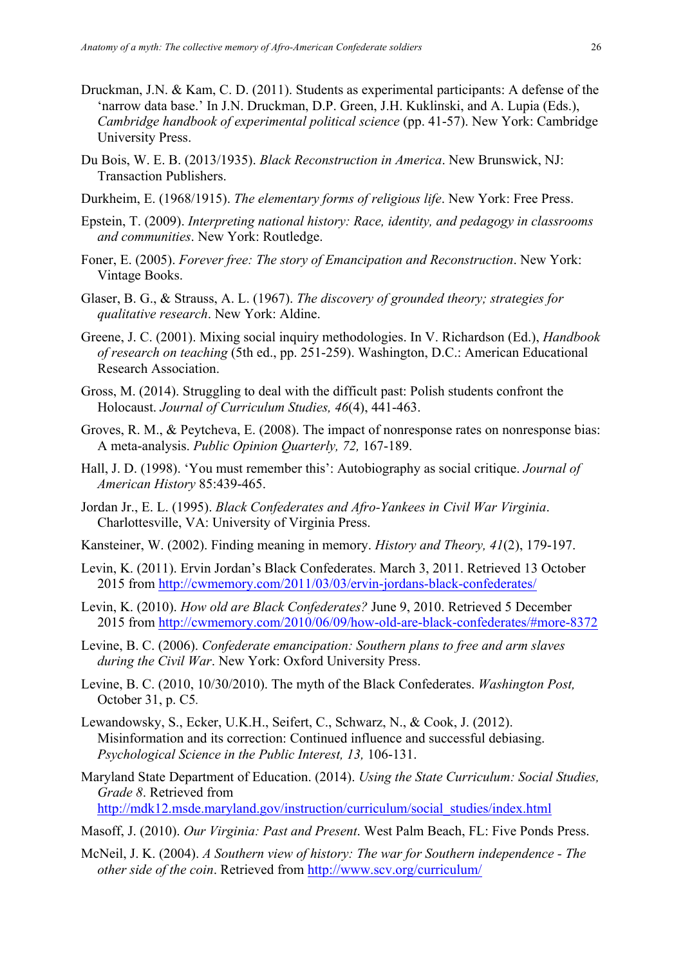- Druckman, J.N. & Kam, C. D. (2011). Students as experimental participants: A defense of the 'narrow data base.' In J.N. Druckman, D.P. Green, J.H. Kuklinski, and A. Lupia (Eds.), *Cambridge handbook of experimental political science* (pp. 41-57). New York: Cambridge University Press.
- Du Bois, W. E. B. (2013/1935). *Black Reconstruction in America*. New Brunswick, NJ: Transaction Publishers.
- Durkheim, E. (1968/1915). *The elementary forms of religious life*. New York: Free Press.
- Epstein, T. (2009). *Interpreting national history: Race, identity, and pedagogy in classrooms and communities*. New York: Routledge.
- Foner, E. (2005). *Forever free: The story of Emancipation and Reconstruction*. New York: Vintage Books.
- Glaser, B. G., & Strauss, A. L. (1967). *The discovery of grounded theory; strategies for qualitative research*. New York: Aldine.
- Greene, J. C. (2001). Mixing social inquiry methodologies. In V. Richardson (Ed.), *Handbook of research on teaching* (5th ed., pp. 251-259). Washington, D.C.: American Educational Research Association.
- Gross, M. (2014). Struggling to deal with the difficult past: Polish students confront the Holocaust. *Journal of Curriculum Studies, 46*(4), 441-463.
- Groves, R. M., & Peytcheva, E. (2008). The impact of nonresponse rates on nonresponse bias: A meta-analysis. *Public Opinion Quarterly, 72,* 167-189.
- Hall, J. D. (1998). 'You must remember this': Autobiography as social critique. *Journal of American History* 85:439-465.
- Jordan Jr., E. L. (1995). *Black Confederates and Afro-Yankees in Civil War Virginia*. Charlottesville, VA: University of Virginia Press.
- Kansteiner, W. (2002). Finding meaning in memory. *History and Theory, 41*(2), 179-197.
- Levin, K. (2011). Ervin Jordan's Black Confederates. March 3, 2011. Retrieved 13 October 2015 from http://cwmemory.com/2011/03/03/ervin-jordans-black-confederates/
- Levin, K. (2010). *How old are Black Confederates?* June 9, 2010. Retrieved 5 December 2015 from http://cwmemory.com/2010/06/09/how-old-are-black-confederates/#more-8372
- Levine, B. C. (2006). *Confederate emancipation: Southern plans to free and arm slaves during the Civil War*. New York: Oxford University Press.
- Levine, B. C. (2010, 10/30/2010). The myth of the Black Confederates. *Washington Post,*  October 31, p. C5*.*
- Lewandowsky, S., Ecker, U.K.H., Seifert, C., Schwarz, N., & Cook, J. (2012). Misinformation and its correction: Continued influence and successful debiasing. *Psychological Science in the Public Interest, 13,* 106-131.
- Maryland State Department of Education. (2014). *Using the State Curriculum: Social Studies, Grade 8*. Retrieved from http://mdk12.msde.maryland.gov/instruction/curriculum/social\_studies/index.html
- Masoff, J. (2010). *Our Virginia: Past and Present*. West Palm Beach, FL: Five Ponds Press.
- McNeil, J. K. (2004). *A Southern view of history: The war for Southern independence - The other side of the coin*. Retrieved from http://www.scv.org/curriculum/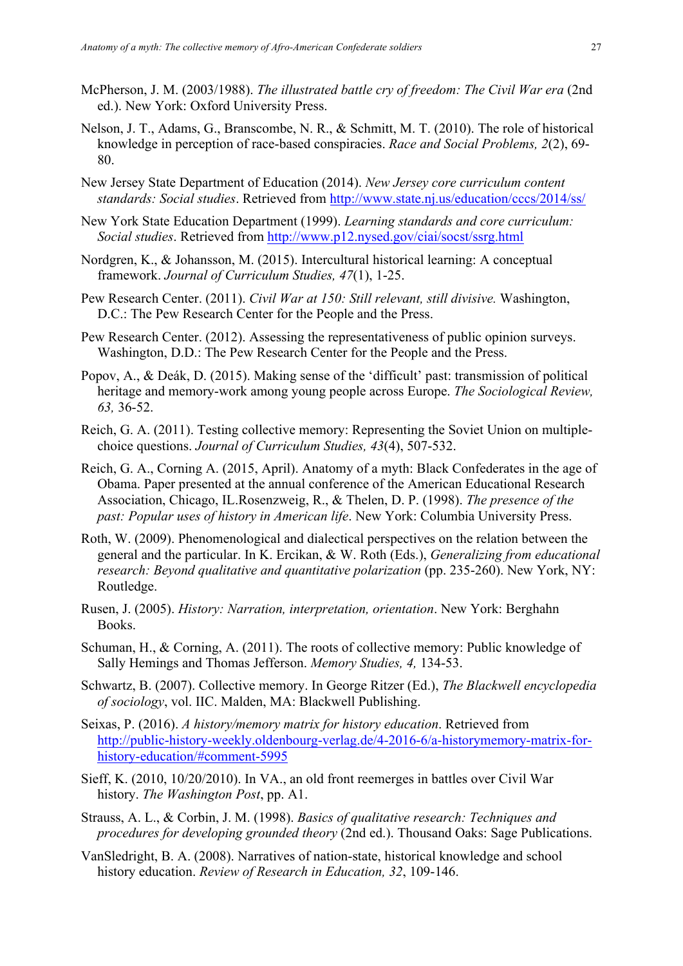- McPherson, J. M. (2003/1988). *The illustrated battle cry of freedom: The Civil War era* (2nd ed.). New York: Oxford University Press.
- Nelson, J. T., Adams, G., Branscombe, N. R., & Schmitt, M. T. (2010). The role of historical knowledge in perception of race-based conspiracies. *Race and Social Problems, 2*(2), 69- 80.
- New Jersey State Department of Education (2014). *New Jersey core curriculum content standards: Social studies*. Retrieved from http://www.state.nj.us/education/cccs/2014/ss/
- New York State Education Department (1999). *Learning standards and core curriculum: Social studies*. Retrieved from http://www.p12.nysed.gov/ciai/socst/ssrg.html
- Nordgren, K., & Johansson, M. (2015). Intercultural historical learning: A conceptual framework. *Journal of Curriculum Studies, 47*(1), 1-25.
- Pew Research Center. (2011). *Civil War at 150: Still relevant, still divisive.* Washington, D.C.: The Pew Research Center for the People and the Press.
- Pew Research Center. (2012). Assessing the representativeness of public opinion surveys. Washington, D.D.: The Pew Research Center for the People and the Press.
- Popov, A., & Deák, D. (2015). Making sense of the 'difficult' past: transmission of political heritage and memory-work among young people across Europe. *The Sociological Review, 63,* 36-52.
- Reich, G. A. (2011). Testing collective memory: Representing the Soviet Union on multiplechoice questions. *Journal of Curriculum Studies, 43*(4), 507-532.
- Reich, G. A., Corning A. (2015, April). Anatomy of a myth: Black Confederates in the age of Obama. Paper presented at the annual conference of the American Educational Research Association, Chicago, IL.Rosenzweig, R., & Thelen, D. P. (1998). *The presence of the past: Popular uses of history in American life*. New York: Columbia University Press.
- Roth, W. (2009). Phenomenological and dialectical perspectives on the relation between the general and the particular. In K. Ercikan, & W. Roth (Eds.), *Generalizing from educational research: Beyond qualitative and quantitative polarization* (pp. 235-260). New York, NY: Routledge.
- Rusen, J. (2005). *History: Narration, interpretation, orientation*. New York: Berghahn Books.
- Schuman, H., & Corning, A. (2011). The roots of collective memory: Public knowledge of Sally Hemings and Thomas Jefferson. *Memory Studies, 4,* 134-53.
- Schwartz, B. (2007). Collective memory. In George Ritzer (Ed.), *The Blackwell encyclopedia of sociology*, vol. IIC. Malden, MA: Blackwell Publishing.
- Seixas, P. (2016). *A history/memory matrix for history education*. Retrieved from http://public-history-weekly.oldenbourg-verlag.de/4-2016-6/a-historymemory-matrix-forhistory-education/#comment-5995
- Sieff, K. (2010, 10/20/2010). In VA., an old front reemerges in battles over Civil War history. *The Washington Post*, pp. A1.
- Strauss, A. L., & Corbin, J. M. (1998). *Basics of qualitative research: Techniques and procedures for developing grounded theory* (2nd ed.). Thousand Oaks: Sage Publications.
- VanSledright, B. A. (2008). Narratives of nation-state, historical knowledge and school history education. *Review of Research in Education, 32*, 109-146.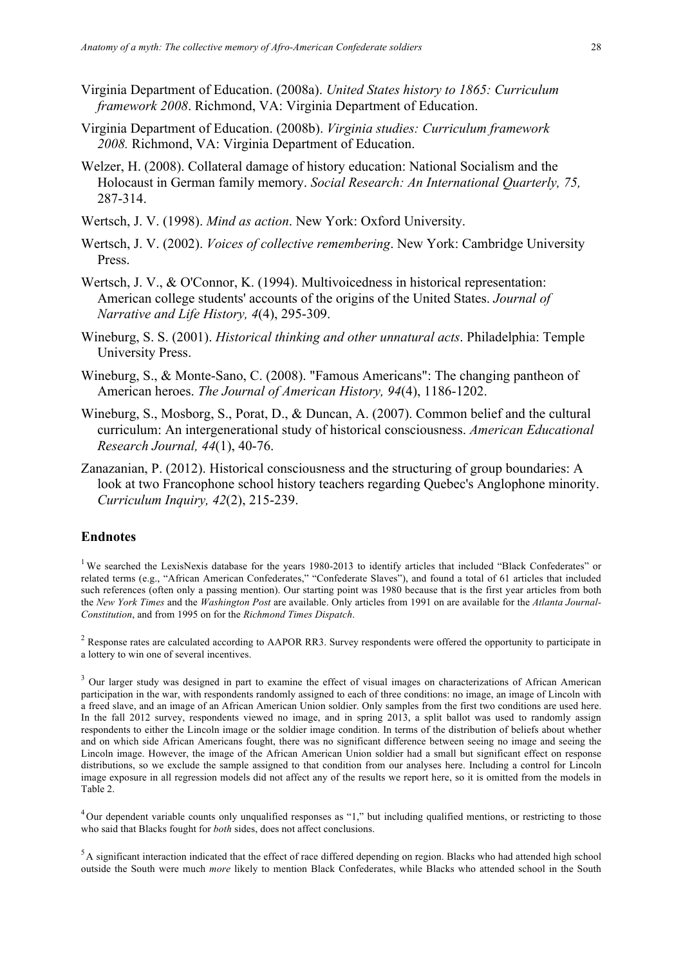- Virginia Department of Education. (2008a). *United States history to 1865: Curriculum framework 2008*. Richmond, VA: Virginia Department of Education.
- Virginia Department of Education. (2008b). *Virginia studies: Curriculum framework 2008.* Richmond, VA: Virginia Department of Education.
- Welzer, H. (2008). Collateral damage of history education: National Socialism and the Holocaust in German family memory. *Social Research: An International Quarterly, 75,* 287-314.
- Wertsch, J. V. (1998). *Mind as action*. New York: Oxford University.
- Wertsch, J. V. (2002). *Voices of collective remembering*. New York: Cambridge University Press.
- Wertsch, J. V., & O'Connor, K. (1994). Multivoicedness in historical representation: American college students' accounts of the origins of the United States. *Journal of Narrative and Life History, 4*(4), 295-309.
- Wineburg, S. S. (2001). *Historical thinking and other unnatural acts*. Philadelphia: Temple University Press.
- Wineburg, S., & Monte-Sano, C. (2008). "Famous Americans": The changing pantheon of American heroes. *The Journal of American History, 94*(4), 1186-1202.
- Wineburg, S., Mosborg, S., Porat, D., & Duncan, A. (2007). Common belief and the cultural curriculum: An intergenerational study of historical consciousness. *American Educational Research Journal, 44*(1), 40-76.
- Zanazanian, P. (2012). Historical consciousness and the structuring of group boundaries: A look at two Francophone school history teachers regarding Quebec's Anglophone minority. *Curriculum Inquiry, 42*(2), 215-239.

#### **Endnotes**

<sup>1</sup> We searched the LexisNexis database for the years 1980-2013 to identify articles that included "Black Confederates" or related terms (e.g., "African American Confederates," "Confederate Slaves"), and found a total of 61 articles that included such references (often only a passing mention). Our starting point was 1980 because that is the first year articles from both the *New York Times* and the *Washington Post* are available. Only articles from 1991 on are available for the *Atlanta Journal-Constitution*, and from 1995 on for the *Richmond Times Dispatch*.

<sup>2</sup> Response rates are calculated according to AAPOR RR3. Survey respondents were offered the opportunity to participate in a lottery to win one of several incentives.

<sup>3</sup> Our larger study was designed in part to examine the effect of visual images on characterizations of African American participation in the war, with respondents randomly assigned to each of three conditions: no image, an image of Lincoln with a freed slave, and an image of an African American Union soldier. Only samples from the first two conditions are used here. In the fall 2012 survey, respondents viewed no image, and in spring 2013, a split ballot was used to randomly assign respondents to either the Lincoln image or the soldier image condition. In terms of the distribution of beliefs about whether and on which side African Americans fought, there was no significant difference between seeing no image and seeing the Lincoln image. However, the image of the African American Union soldier had a small but significant effect on response distributions, so we exclude the sample assigned to that condition from our analyses here. Including a control for Lincoln image exposure in all regression models did not affect any of the results we report here, so it is omitted from the models in Table 2.

 $4$ Our dependent variable counts only unqualified responses as "1," but including qualified mentions, or restricting to those who said that Blacks fought for *both* sides, does not affect conclusions.

 $<sup>5</sup>$  A significant interaction indicated that the effect of race differed depending on region. Blacks who had attended high school</sup> outside the South were much *more* likely to mention Black Confederates, while Blacks who attended school in the South